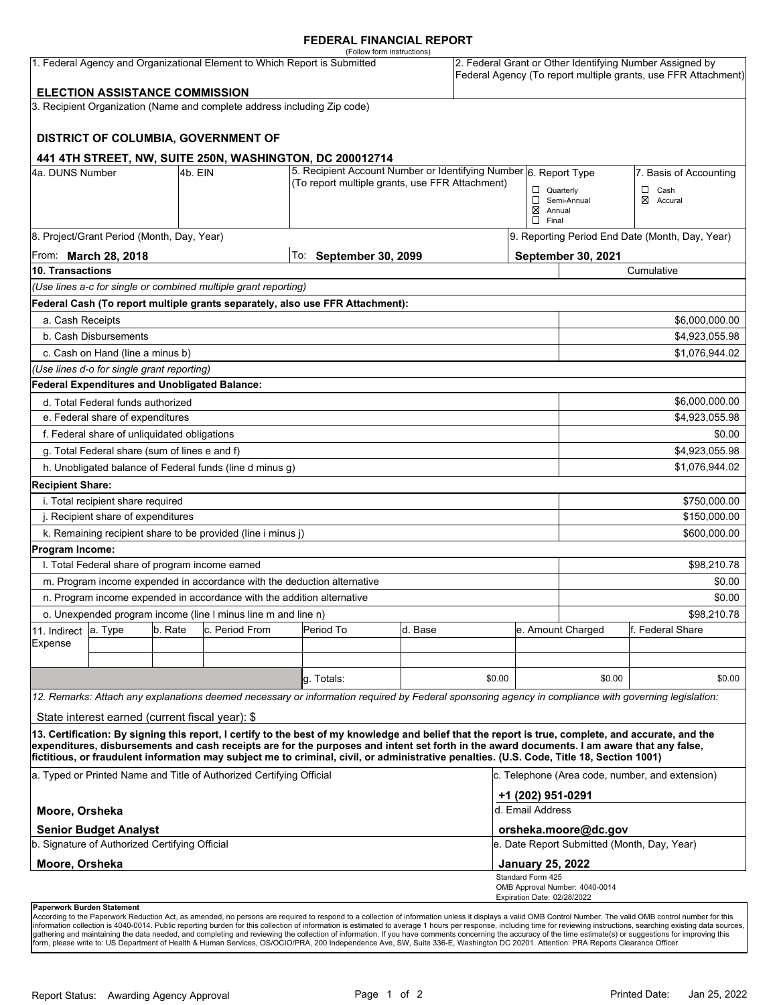### **FEDERAL FINANCIAL REPORT**

|                                                                                        |                                                      |         | 1. Federal Agency and Organizational Element to Which Report is Submitted | (Follow form instructions)                                                                                                                                                                                                                                                              |         |        |                                                 |                                | 2. Federal Grant or Other Identifying Number Assigned by<br>Federal Agency (To report multiple grants, use FFR Attachment) |  |
|----------------------------------------------------------------------------------------|------------------------------------------------------|---------|---------------------------------------------------------------------------|-----------------------------------------------------------------------------------------------------------------------------------------------------------------------------------------------------------------------------------------------------------------------------------------|---------|--------|-------------------------------------------------|--------------------------------|----------------------------------------------------------------------------------------------------------------------------|--|
|                                                                                        |                                                      |         |                                                                           |                                                                                                                                                                                                                                                                                         |         |        |                                                 |                                |                                                                                                                            |  |
|                                                                                        | <b>ELECTION ASSISTANCE COMMISSION</b>                |         | 3. Recipient Organization (Name and complete address including Zip code)  |                                                                                                                                                                                                                                                                                         |         |        |                                                 |                                |                                                                                                                            |  |
|                                                                                        |                                                      |         |                                                                           |                                                                                                                                                                                                                                                                                         |         |        |                                                 |                                |                                                                                                                            |  |
|                                                                                        |                                                      |         | DISTRICT OF COLUMBIA, GOVERNMENT OF                                       |                                                                                                                                                                                                                                                                                         |         |        |                                                 |                                |                                                                                                                            |  |
|                                                                                        |                                                      |         |                                                                           |                                                                                                                                                                                                                                                                                         |         |        |                                                 |                                |                                                                                                                            |  |
| 441 4TH STREET, NW, SUITE 250N, WASHINGTON, DC 200012714<br>4a. DUNS Number<br>4b. EIN |                                                      |         | 5. Recipient Account Number or Identifying Number 6. Report Type          |                                                                                                                                                                                                                                                                                         |         |        |                                                 | 7. Basis of Accounting         |                                                                                                                            |  |
|                                                                                        |                                                      |         |                                                                           | (To report multiple grants, use FFR Attachment)                                                                                                                                                                                                                                         |         |        |                                                 | $\Box$ Quarterly               | $\Box$<br>Cash                                                                                                             |  |
|                                                                                        |                                                      |         |                                                                           |                                                                                                                                                                                                                                                                                         |         |        |                                                 | Semi-Annual                    | ⊠<br>Accural                                                                                                               |  |
|                                                                                        |                                                      |         |                                                                           |                                                                                                                                                                                                                                                                                         |         |        | $\boxtimes$ Annual<br>$\Box$ Final              |                                |                                                                                                                            |  |
|                                                                                        | 8. Project/Grant Period (Month, Day, Year)           |         |                                                                           |                                                                                                                                                                                                                                                                                         |         |        | 9. Reporting Period End Date (Month, Day, Year) |                                |                                                                                                                            |  |
| From: <b>March 28, 2018</b>                                                            |                                                      |         |                                                                           | To: September 30, 2099                                                                                                                                                                                                                                                                  |         |        |                                                 | September 30, 2021             |                                                                                                                            |  |
| 10. Transactions                                                                       |                                                      |         |                                                                           |                                                                                                                                                                                                                                                                                         |         |        | Cumulative                                      |                                |                                                                                                                            |  |
|                                                                                        |                                                      |         | (Use lines a-c for single or combined multiple grant reporting)           |                                                                                                                                                                                                                                                                                         |         |        |                                                 |                                |                                                                                                                            |  |
|                                                                                        |                                                      |         |                                                                           | Federal Cash (To report multiple grants separately, also use FFR Attachment):                                                                                                                                                                                                           |         |        |                                                 |                                |                                                                                                                            |  |
| a. Cash Receipts                                                                       |                                                      |         |                                                                           |                                                                                                                                                                                                                                                                                         |         |        |                                                 |                                | \$6,000,000.00                                                                                                             |  |
|                                                                                        | b. Cash Disbursements                                |         |                                                                           |                                                                                                                                                                                                                                                                                         |         |        |                                                 | \$4,923,055.98                 |                                                                                                                            |  |
|                                                                                        | c. Cash on Hand (line a minus b)                     |         |                                                                           |                                                                                                                                                                                                                                                                                         |         |        |                                                 |                                | \$1,076,944.02                                                                                                             |  |
|                                                                                        | (Use lines d-o for single grant reporting)           |         |                                                                           |                                                                                                                                                                                                                                                                                         |         |        |                                                 |                                |                                                                                                                            |  |
|                                                                                        | <b>Federal Expenditures and Unobligated Balance:</b> |         |                                                                           |                                                                                                                                                                                                                                                                                         |         |        |                                                 |                                |                                                                                                                            |  |
|                                                                                        | d. Total Federal funds authorized                    |         |                                                                           |                                                                                                                                                                                                                                                                                         |         |        |                                                 | \$6,000,000.00                 |                                                                                                                            |  |
| e. Federal share of expenditures                                                       |                                                      |         |                                                                           |                                                                                                                                                                                                                                                                                         |         |        |                                                 | \$4,923,055.98                 |                                                                                                                            |  |
| f. Federal share of unliquidated obligations                                           |                                                      |         |                                                                           |                                                                                                                                                                                                                                                                                         |         |        |                                                 | \$0.00                         |                                                                                                                            |  |
| g. Total Federal share (sum of lines e and f)                                          |                                                      |         |                                                                           |                                                                                                                                                                                                                                                                                         |         |        |                                                 | \$4,923,055.98                 |                                                                                                                            |  |
| h. Unobligated balance of Federal funds (line d minus g)                               |                                                      |         |                                                                           |                                                                                                                                                                                                                                                                                         |         |        |                                                 |                                | \$1,076,944.02                                                                                                             |  |
| <b>Recipient Share:</b>                                                                |                                                      |         |                                                                           |                                                                                                                                                                                                                                                                                         |         |        |                                                 |                                |                                                                                                                            |  |
| i. Total recipient share required                                                      |                                                      |         |                                                                           |                                                                                                                                                                                                                                                                                         |         |        |                                                 |                                | \$750,000.00                                                                                                               |  |
| j. Recipient share of expenditures                                                     |                                                      |         |                                                                           |                                                                                                                                                                                                                                                                                         |         |        |                                                 | \$150,000.00                   |                                                                                                                            |  |
|                                                                                        |                                                      |         | k. Remaining recipient share to be provided (line i minus j)              |                                                                                                                                                                                                                                                                                         |         |        |                                                 |                                | \$600,000.00                                                                                                               |  |
| Program Income:                                                                        |                                                      |         |                                                                           |                                                                                                                                                                                                                                                                                         |         |        |                                                 |                                |                                                                                                                            |  |
|                                                                                        | I. Total Federal share of program income earned      |         |                                                                           |                                                                                                                                                                                                                                                                                         |         |        |                                                 | \$98,210.78                    |                                                                                                                            |  |
|                                                                                        |                                                      |         |                                                                           | m. Program income expended in accordance with the deduction alternative                                                                                                                                                                                                                 |         |        |                                                 | \$0.00                         |                                                                                                                            |  |
|                                                                                        |                                                      |         | n. Program income expended in accordance with the addition alternative    |                                                                                                                                                                                                                                                                                         |         |        |                                                 | \$0.00                         |                                                                                                                            |  |
|                                                                                        |                                                      |         | o. Unexpended program income (line I minus line m and line n)             |                                                                                                                                                                                                                                                                                         |         |        |                                                 | \$98,210.78                    |                                                                                                                            |  |
| 11. Indirect                                                                           | a. Type                                              | b. Rate | c. Period From                                                            | Period To                                                                                                                                                                                                                                                                               | d. Base |        |                                                 | e. Amount Charged              | f. Federal Share                                                                                                           |  |
| Expense                                                                                |                                                      |         |                                                                           |                                                                                                                                                                                                                                                                                         |         |        |                                                 |                                |                                                                                                                            |  |
|                                                                                        |                                                      |         |                                                                           |                                                                                                                                                                                                                                                                                         |         |        |                                                 |                                |                                                                                                                            |  |
|                                                                                        |                                                      |         |                                                                           | g. Totals:                                                                                                                                                                                                                                                                              |         | \$0.00 |                                                 | \$0.00                         | \$0.00                                                                                                                     |  |
|                                                                                        |                                                      |         |                                                                           | 12. Remarks: Attach any explanations deemed necessary or information required by Federal sponsoring agency in compliance with governing legislation:                                                                                                                                    |         |        |                                                 |                                |                                                                                                                            |  |
|                                                                                        | State interest earned (current fiscal year): \$      |         |                                                                           |                                                                                                                                                                                                                                                                                         |         |        |                                                 |                                |                                                                                                                            |  |
|                                                                                        |                                                      |         |                                                                           | 13. Certification: By signing this report, I certify to the best of my knowledge and belief that the report is true, complete, and accurate, and the                                                                                                                                    |         |        |                                                 |                                |                                                                                                                            |  |
|                                                                                        |                                                      |         |                                                                           | expenditures, disbursements and cash receipts are for the purposes and intent set forth in the award documents. I am aware that any false,<br>fictitious, or fraudulent information may subject me to criminal, civil, or administrative penalties. (U.S. Code, Title 18, Section 1001) |         |        |                                                 |                                |                                                                                                                            |  |
|                                                                                        |                                                      |         |                                                                           |                                                                                                                                                                                                                                                                                         |         |        |                                                 |                                | c. Telephone (Area code, number, and extension)                                                                            |  |
|                                                                                        |                                                      |         | a. Typed or Printed Name and Title of Authorized Certifying Official      |                                                                                                                                                                                                                                                                                         |         |        |                                                 |                                |                                                                                                                            |  |
|                                                                                        |                                                      |         |                                                                           |                                                                                                                                                                                                                                                                                         |         |        | +1 (202) 951-0291                               |                                |                                                                                                                            |  |
| Moore, Orsheka                                                                         |                                                      |         |                                                                           |                                                                                                                                                                                                                                                                                         |         |        | d. Email Address                                |                                |                                                                                                                            |  |
|                                                                                        | <b>Senior Budget Analyst</b>                         |         |                                                                           |                                                                                                                                                                                                                                                                                         |         |        |                                                 | orsheka.moore@dc.gov           |                                                                                                                            |  |
| b. Signature of Authorized Certifying Official                                         |                                                      |         |                                                                           |                                                                                                                                                                                                                                                                                         |         |        | e. Date Report Submitted (Month, Day, Year)     |                                |                                                                                                                            |  |
| Moore, Orsheka                                                                         |                                                      |         |                                                                           |                                                                                                                                                                                                                                                                                         |         |        | <b>January 25, 2022</b>                         |                                |                                                                                                                            |  |
|                                                                                        |                                                      |         |                                                                           |                                                                                                                                                                                                                                                                                         |         |        | Standard Form 425                               | OMB Approval Number: 4040-0014 |                                                                                                                            |  |
|                                                                                        | Paperwork Burden Statement                           |         |                                                                           |                                                                                                                                                                                                                                                                                         |         |        | Expiration Date: 02/28/2022                     |                                |                                                                                                                            |  |

According to the Paperwork Reduction Act, as amended, no persons are required to respond to a collection of information unless it displays a valid OMB Control Number. The valid OMB control number for this<br>information colle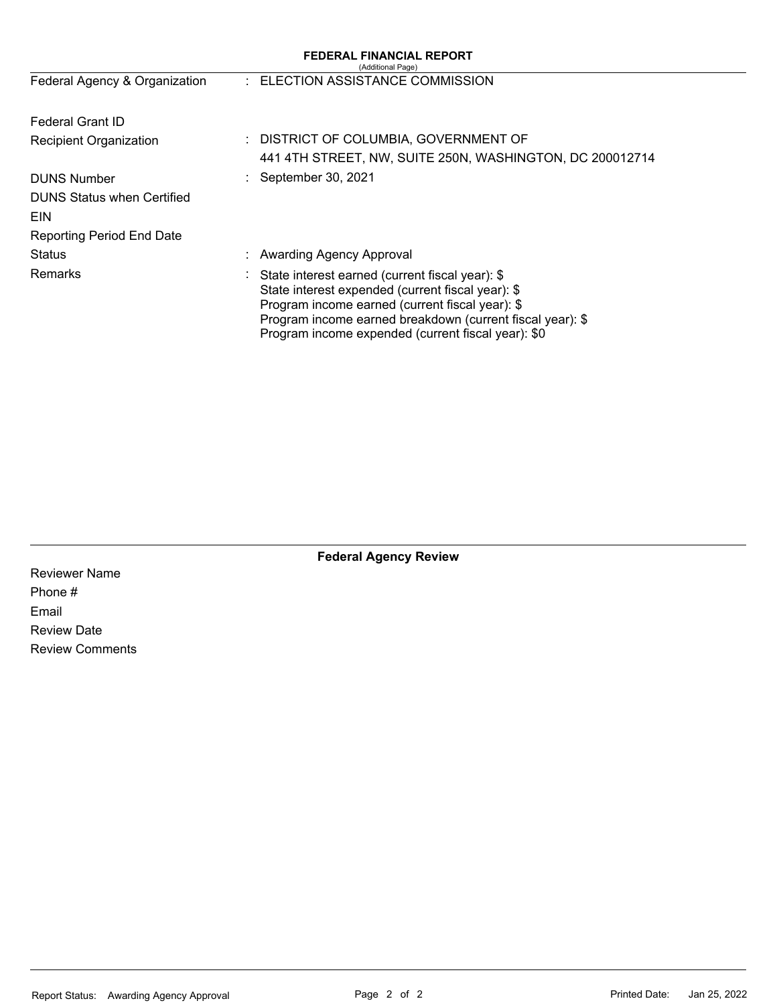|                                   |  | <b>FEDERAL FINANCIAL REPORT</b><br>(Additional Page)                                                                                                                                                                                                                       |
|-----------------------------------|--|----------------------------------------------------------------------------------------------------------------------------------------------------------------------------------------------------------------------------------------------------------------------------|
| Federal Agency & Organization     |  | : ELECTION ASSISTANCE COMMISSION                                                                                                                                                                                                                                           |
| Federal Grant ID                  |  |                                                                                                                                                                                                                                                                            |
| <b>Recipient Organization</b>     |  | : DISTRICT OF COLUMBIA, GOVERNMENT OF                                                                                                                                                                                                                                      |
|                                   |  | 441 4TH STREET, NW, SUITE 250N, WASHINGTON, DC 200012714                                                                                                                                                                                                                   |
| <b>DUNS Number</b>                |  | September 30, 2021                                                                                                                                                                                                                                                         |
| <b>DUNS Status when Certified</b> |  |                                                                                                                                                                                                                                                                            |
| <b>EIN</b>                        |  |                                                                                                                                                                                                                                                                            |
| <b>Reporting Period End Date</b>  |  |                                                                                                                                                                                                                                                                            |
| <b>Status</b>                     |  | : Awarding Agency Approval                                                                                                                                                                                                                                                 |
| Remarks                           |  | State interest earned (current fiscal year): \$<br>State interest expended (current fiscal year): \$<br>Program income earned (current fiscal year): \$<br>Program income earned breakdown (current fiscal year): \$<br>Program income expended (current fiscal year): \$0 |

**Federal Agency Review** 

Reviewer Name Phone # Email Review Date Review Comments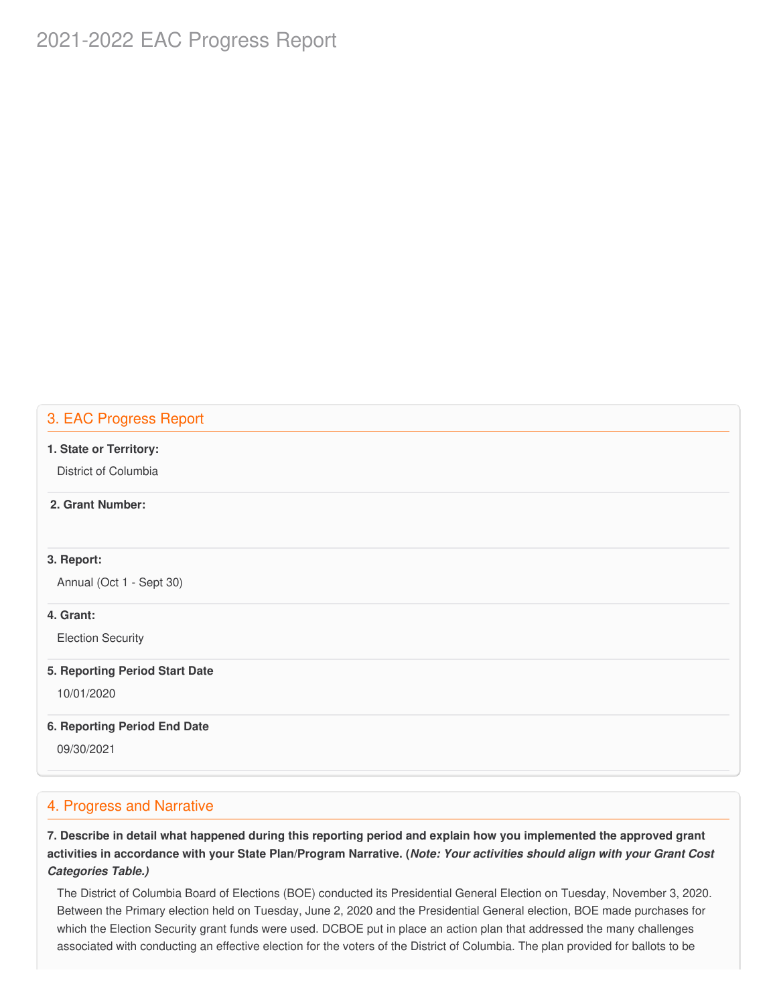# 2021-2022 EAC Progress Report

### 3. EAC Progress Report

#### **1. State or Territory:**

District of Columbia

### **2. Grant Number:**

### **3. Report:**

Annual (Oct 1 - Sept 30)

### **4. Grant:**

Election Security

#### **5. Reporting Period Start Date**

10/01/2020

### **6. Reporting Period End Date**

09/30/2021

### 4. Progress and Narrative

7. Describe in detail what happened during this reporting period and explain how you implemented the approved grant activities in accordance with your State Plan/Program Narrative. (*Note: Your activities should align with your Grant Cost Categories Table.)*

 The District of Columbia Board of Elections (BOE) conducted its Presidential General Election on Tuesday, November 3, 2020. Between the Primary election held on Tuesday, June 2, 2020 and the Presidential General election, BOE made purchases for which the Election Security grant funds were used. DCBOE put in place an action plan that addressed the many challenges associated with conducting an effective election for the voters of the District of Columbia. The plan provided for ballots to be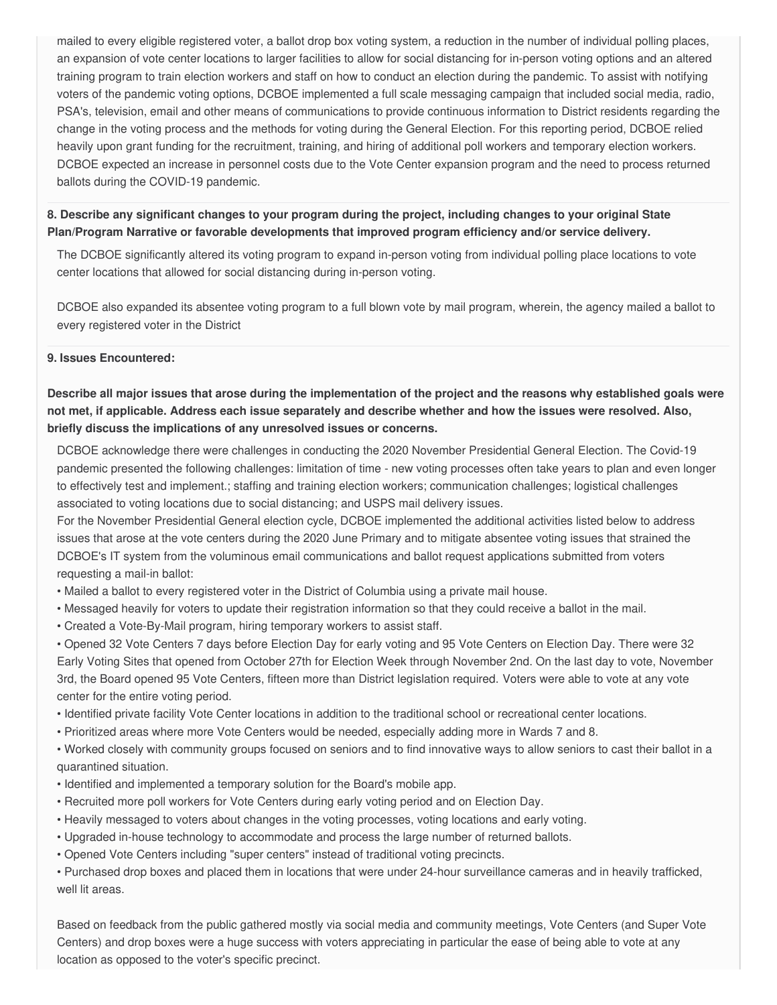mailed to every eligible registered voter, a ballot drop box voting system, a reduction in the number of individual polling places, an expansion of vote center locations to larger facilities to allow for social distancing for in-person voting options and an altered training program to train election workers and staff on how to conduct an election during the pandemic. To assist with notifying voters of the pandemic voting options, DCBOE implemented a full scale messaging campaign that included social media, radio, PSA's, television, email and other means of communications to provide continuous information to District residents regarding the change in the voting process and the methods for voting during the General Election. For this reporting period, DCBOE relied heavily upon grant funding for the recruitment, training, and hiring of additional poll workers and temporary election workers. DCBOE expected an increase in personnel costs due to the Vote Center expansion program and the need to process returned ballots during the COVID-19 pandemic.

### 8. Describe any significant changes to your program during the project, including changes to your original State  **Plan/Program Narrative or favorable developments that improved program efficiency and/or service delivery.**

 The DCBOE significantly altered its voting program to expand in-person voting from individual polling place locations to vote center locations that allowed for social distancing during in-person voting.

 DCBOE also expanded its absentee voting program to a full blown vote by mail program, wherein, the agency mailed a ballot to every registered voter in the District

#### **9. Issues Encountered:**

Describe all major issues that arose during the implementation of the project and the reasons why established goals were not met, if applicable. Address each issue separately and describe whether and how the issues were resolved. Also,  **briefly discuss the implications of any unresolved issues or concerns.**

 DCBOE acknowledge there were challenges in conducting the 2020 November Presidential General Election. The Covid-19 pandemic presented the following challenges: limitation of time - new voting processes often take years to plan and even longer to effectively test and implement.; staffing and training election workers; communication challenges; logistical challenges associated to voting locations due to social distancing; and USPS mail delivery issues.

 For the November Presidential General election cycle, DCBOE implemented the additional activities listed below to address issues that arose at the vote centers during the 2020 June Primary and to mitigate absentee voting issues that strained the DCBOE's IT system from the voluminous email communications and ballot request applications submitted from voters requesting a mail-in ballot:

- Mailed a ballot to every registered voter in the District of Columbia using a private mail house.
- Messaged heavily for voters to update their registration information so that they could receive a ballot in the mail.
- Created a Vote-By-Mail program, hiring temporary workers to assist staff.

 • Opened 32 Vote Centers 7 days before Election Day for early voting and 95 Vote Centers on Election Day. There were 32 Early Voting Sites that opened from October 27th for Election Week through November 2nd. On the last day to vote, November 3rd, the Board opened 95 Vote Centers, fifteen more than District legislation required. Voters were able to vote at any vote center for the entire voting period.

- Identified private facility Vote Center locations in addition to the traditional school or recreational center locations.
- Prioritized areas where more Vote Centers would be needed, especially adding more in Wards 7 and 8.

 • Worked closely with community groups focused on seniors and to find innovative ways to allow seniors to cast their ballot in a quarantined situation.

- Identified and implemented a temporary solution for the Board's mobile app.
- Recruited more poll workers for Vote Centers during early voting period and on Election Day.
- Heavily messaged to voters about changes in the voting processes, voting locations and early voting.
- Upgraded in-house technology to accommodate and process the large number of returned ballots.
- Opened Vote Centers including "super centers" instead of traditional voting precincts.

 • Purchased drop boxes and placed them in locations that were under 24-hour surveillance cameras and in heavily trafficked, well lit areas.

 Based on feedback from the public gathered mostly via social media and community meetings, Vote Centers (and Super Vote Centers) and drop boxes were a huge success with voters appreciating in particular the ease of being able to vote at any location as opposed to the voter's specific precinct.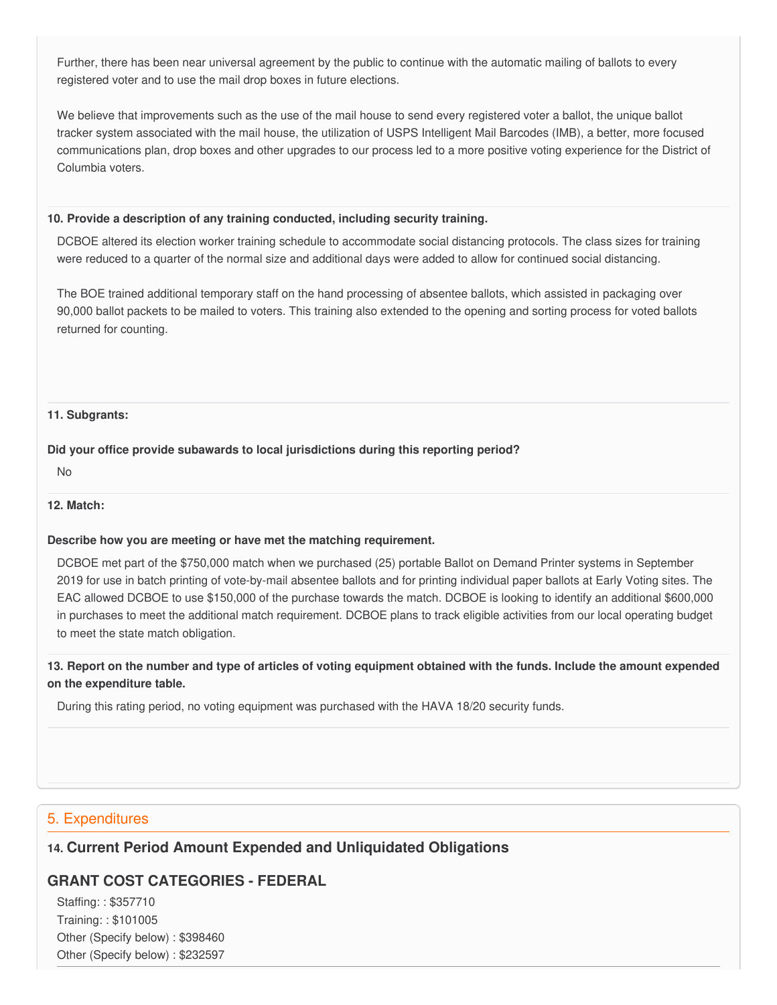Further, there has been near universal agreement by the public to continue with the automatic mailing of ballots to every registered voter and to use the mail drop boxes in future elections.

 We believe that improvements such as the use of the mail house to send every registered voter a ballot, the unique ballot tracker system associated with the mail house, the utilization of USPS Intelligent Mail Barcodes (IMB), a better, more focused communications plan, drop boxes and other upgrades to our process led to a more positive voting experience for the District of Columbia voters.

#### **10. Provide a description of any training conducted, including security training.**

 DCBOE altered its election worker training schedule to accommodate social distancing protocols. The class sizes for training were reduced to a quarter of the normal size and additional days were added to allow for continued social distancing.

 The BOE trained additional temporary staff on the hand processing of absentee ballots, which assisted in packaging over 90,000 ballot packets to be mailed to voters. This training also extended to the opening and sorting process for voted ballots returned for counting.

#### **11. Subgrants:**

### **Did your office provide subawards to local jurisdictions during this reporting period?**

No

### **12. Match:**

### **Describe how you are meeting or have met the matching requirement.**

 DCBOE met part of the \$750,000 match when we purchased (25) portable Ballot on Demand Printer systems in September 2019 for use in batch printing of vote-by-mail absentee ballots and for printing individual paper ballots at Early Voting sites. The EAC allowed DCBOE to use \$150,000 of the purchase towards the match. DCBOE is looking to identify an additional \$600,000 in purchases to meet the additional match requirement. DCBOE plans to track eligible activities from our local operating budget to meet the state match obligation.

13. Report on the number and type of articles of voting equipment obtained with the funds. Include the amount expended  **on the expenditure table.**

During this rating period, no voting equipment was purchased with the HAVA 18/20 security funds.

### 5. Expenditures

### **14. Current Period Amount Expended and Unliquidated Obligations**

### **GRANT COST CATEGORIES - FEDERAL**

 Staffing: : \$357710 Training: : \$101005 Other (Specify below) : \$398460 Other (Specify below) : \$232597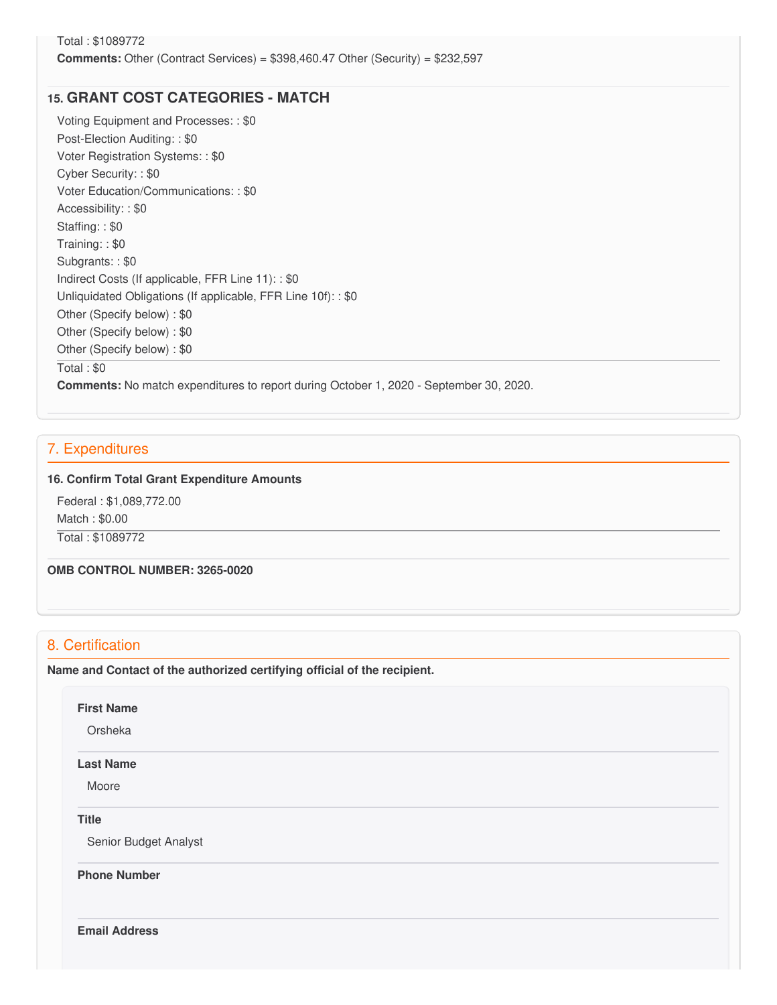### **15. GRANT COST CATEGORIES - MATCH**

 Voting Equipment and Processes: : \$0 Post-Election Auditing: : \$0 Voter Registration Systems: : \$0 Cyber Security: : \$0 Voter Education/Communications: : \$0 Accessibility: : \$0 Staffing: : \$0 Training: : \$0 Subgrants: : \$0 Indirect Costs (If applicable, FFR Line 11): : \$0 Unliquidated Obligations (If applicable, FFR Line 10f): : \$0 Other (Specify below) : \$0 Other (Specify below) : \$0 Other (Specify below) : \$0 Total : \$0

**Comments:** No match expenditures to report during October 1, 2020 - September 30, 2020.

### 7. Expenditures

### **16. Confirm Total Grant Expenditure Amounts**

 Federal : \$[1,089,772.00](https://1,089,772.00) Match : \$0.00 Total : \$1089772

 **OMB CONTROL NUMBER: 3265-0020**

### 8. Certification

 **Name and Contact of the authorized certifying official of the recipient.**

#### **First Name**

**Orsheka** 

#### **Last Name**

Moore

#### **Title**

Senior Budget Analyst

**Phone Number** 

**Email Address**